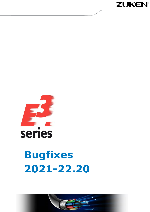



# **Bugfixes** 2021-22.20

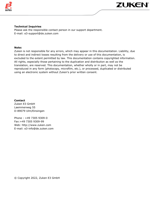



#### **Technical Inquiries**

Please ask the responsible contact person in our support department. E-mail: e3-support@de.zuken.com

#### **Note:**

Zuken is not responsible for any errors, which may appear in this documentation. Liability, due to direct and indirect losses resulting from the delivery or use of this documentation, is excluded to the extent permitted by law. This documentation contains copyrighted information. All rights, especially those pertaining to the duplication and distribution as well as the translation, are reserved. This documentation, whether wholly or in part, may not be reproduced in any form (photocopy, microfilm, etc.), or processed, duplicated or distributed using an electronic system without Zuken's prior written consent.

**Contact** Zuken E3 GmbH Laemmerweg 55 D-89079 Ulm/Einsingen

Phone : +49 7305 9309-0 Fax:+49 7305 9309-99 Web: http://www.zuken.com E-mail: e3-info@de.zuken.com

© Copyright 2022, Zuken E3 GmbH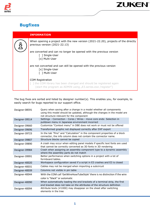

# **Bugfixes**

|  | <b>INFORMATION</b>                                                                                                                                             |
|--|----------------------------------------------------------------------------------------------------------------------------------------------------------------|
|  | When opening a project with the new version (2021-22.20), projects of the directly<br>previous version (2021-22.13)                                            |
|  | are converted and can no longer be opened with the previous version<br>[ ] Single-User<br>[x] Multi-User                                                       |
|  | are not converted and can still be opened with the previous version<br>[x] Single-User<br>[ ] Multi-User                                                       |
|  | <b>COM Registration</b><br>[1] the COM library has been changed and should be registered again<br>(start the program as ADMIN using "E3.series.exe /register") |

The bug fixes are sorted and listed by designer number(s). This enables you, for example, to easily search for bugs reported to our support office.

| Designer-08591 | Query when saving after a change in a model whether all components<br>using this model should be updated, although the changes in the model are<br>not structure-relevant for the component |
|----------------|---------------------------------------------------------------------------------------------------------------------------------------------------------------------------------------------|
| Designer-39514 | Settings - Connection - Cores / Wires - move core ends: Selection in<br>pulldown menu in Japanese environment incorrect                                                                     |
| Designer-39660 | Customize "Context menu" in DBE does not work or must not be offered                                                                                                                        |
| Designer-39696 | Transformed graphic not displayed correctly after DXF export                                                                                                                                |
| Designer-39723 | In the tab "Pins" and "Calculation" in the component properties of a block<br>connector, the info column does not contain the connector name.                                               |
| Designer-39807 | Structure blocks cannot be copied                                                                                                                                                           |
| Designer-39890 | A crash may occur when editing panel models if specific text fonts are used<br>that cannot be correctly converted as 3D fonts in 3D rendering                                               |
| Designer-39984 | Crash when assigning an assembly component type to a dynamic assembly<br>where the assembly parts do not match                                                                              |
| Designer-39991 | Better performance when switching options in a project with a lot of<br>formboard tables.                                                                                                   |
| Designer-40020 | Workspace configuration saved if a script in E3 crashes and E3 is closed                                                                                                                    |
| Designer-40031 | Cables may not be merged when importing a subcircuit                                                                                                                                        |
| Designer-40039 | Columns not visible in pin table                                                                                                                                                            |
| Designer-40044 | With the COM call 'GetWireHoseTubeStyle' there is no distinction if the wire                                                                                                                |
|                | color is "black" or automatic                                                                                                                                                               |
| Designer-40090 | When automatically loading the end brackets of a terminal strip, the first<br>end bracket does not take on the attributes of the structure definition                                       |
| Designer-40094 | Attribute texts (#1000) may disappear on the sheet after switching<br>elements in the tree                                                                                                  |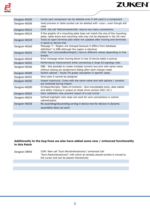

| Designer-40105 | Cavity part component can be deleted even if still used in a component                                                                                  |
|----------------|---------------------------------------------------------------------------------------------------------------------------------------------------------|
| Designer-40106 | Used preview or table symbol can be deleted with <yes>, even though still<br/>used</yes>                                                                |
| Designer-40122 | COM: the call 'GetConnectionIds' returns too many connections                                                                                           |
| Designer-40124 | If the graphic of a mounting plate does not match the size of the mounting<br>plate, cable ducts and mounting rails may not be displayed in the 2D view |
| Designer-40149 | Texts on open terminal plan sheet not updated after moving end terminals<br>in panel or device tree                                                     |
| Designer-40160 | Message "I - Region not changed because it differs from database<br>definition" in DBE although the region is identical                                 |
| Designer-40163 | COM: Text.CalculateBoxHeight() returns different values depending on line<br>breaks                                                                     |
| Designer-40164 | Error message when moving block in tree (if device table is active)                                                                                     |
| Designer-40165 | Performance improvement while connecting in large E3.topology nets.                                                                                     |
| Designer-40166 | DBE - Not possible to create multiple numeric bus pins with same name<br>without closing pin assignment dialog after each change made                   |
| Designer-40189 | Switch cabinet - Faulty Fill grade calculation in specific cases                                                                                        |
| Designer-40191 | Wire color 0 cannot be assigned                                                                                                                         |
| Designer-40195 | Import subcircuit: Cores with the same name and with options / variants<br>are renamed during import                                                    |
| Designer-40200 | E3. Report Scripts: Table of Contents - Non-translatable texts, date edited<br>and editor missing in output on sheet since version 2021-22.1            |
| Designer-40203 | Item validation may prevent import of a sub-circuit                                                                                                     |
| Designer-40224 | Defined highlight color does not work for wire connections in control<br>cabinet/panel                                                                  |
| Designer-40336 | No ascending/descending sorting in device tree for devices in dynamic<br>assemblies does not work                                                       |
|                |                                                                                                                                                         |

**ZUKEN** 

### **Additionally to the bug fixes we also have added some new / enhanced functionality in this Patch**

| COM: New call "Sym.MoveInteractively"/ enhanced Call<br>"Sym.PlaceInteractively" with which an already placed symbol is moved to<br>the cursor and can be placed interactively |
|--------------------------------------------------------------------------------------------------------------------------------------------------------------------------------|
|                                                                                                                                                                                |
|                                                                                                                                                                                |